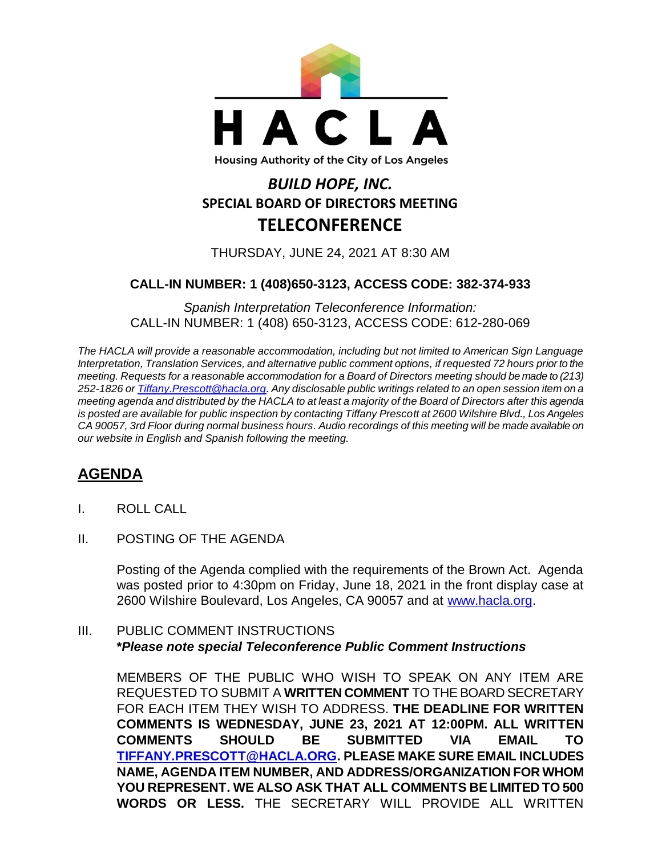

## *BUILD HOPE, INC.* **SPECIAL BOARD OF DIRECTORS MEETING TELECONFERENCE**

THURSDAY, JUNE 24, 2021 AT 8:30 AM

## **CALL-IN NUMBER: 1 (408)650-3123, ACCESS CODE: 382-374-933**

*Spanish Interpretation Teleconference Information:* CALL-IN NUMBER: 1 (408) 650-3123, ACCESS CODE: 612-280-069

*The HACLA will provide a reasonable accommodation, including but not limited to American Sign Language Interpretation, Translation Services, and alternative public comment options, if requested 72 hours prior to the meeting. Requests for a reasonable accommodation for a Board of Directors meeting should be made to (213) 252-1826 or Tiffany.Prescott@hacla.org. Any disclosable public writings related to an open session item on a meeting agenda and distributed by the HACLA to at least a majority of the Board of Directors after this agenda is posted are available for public inspection by contacting Tiffany Prescott at 2600 Wilshire Blvd., Los Angeles CA 90057, 3rd Floor during normal business hours. Audio recordings of this meeting will be made available on our website in English and Spanish following the meeting.*

## **AGENDA**

- I. ROLL CALL
- II. POSTING OF THE AGENDA

Posting of the Agenda complied with the requirements of the Brown Act. Agenda was posted prior to 4:30pm on Friday, June 18, 2021 in the front display case at 2600 Wilshire Boulevard, Los Angeles, CA 90057 and at [www.hacla.org.](http://www.hacla.org/)

III. PUBLIC COMMENT INSTRUCTIONS **\****Please note special Teleconference Public Comment Instructions*

MEMBERS OF THE PUBLIC WHO WISH TO SPEAK ON ANY ITEM ARE REQUESTED TO SUBMIT A **WRITTEN COMMENT** TO THE BOARD SECRETARY FOR EACH ITEM THEY WISH TO ADDRESS. **THE DEADLINE FOR WRITTEN COMMENTS IS WEDNESDAY, JUNE 23, 2021 AT 12:00PM. ALL WRITTEN COMMENTS SHOULD BE SUBMITTED VIA EMAIL TO [TIFFANY.PRESCOTT@HACLA.ORG.](mailto:TIFFANY.PRESCOTT@HACLA.ORG) PLEASE MAKE SURE EMAIL INCLUDES NAME, AGENDA ITEM NUMBER, AND ADDRESS/ORGANIZATION FOR WHOM YOU REPRESENT. WE ALSO ASK THAT ALL COMMENTS BE LIMITED TO 500 WORDS OR LESS.** THE SECRETARY WILL PROVIDE ALL WRITTEN